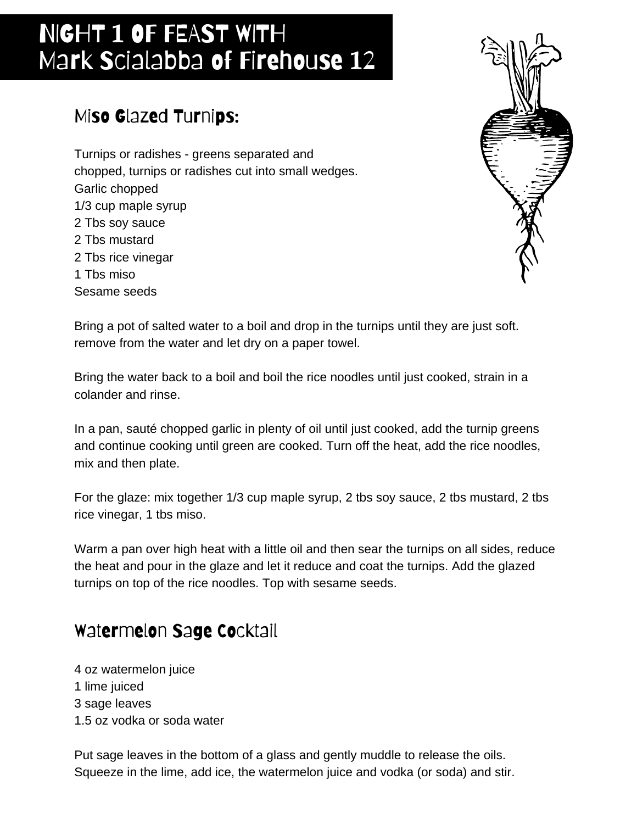# NIGHT 1 OF FEAST WITH Mark Scialabba of Firehouse 12

### Miso Glazed Turnips:

Turnips or radishes - greens separated and chopped, turnips or radishes cut into small wedges. Garlic chopped 1/3 cup maple syrup 2 Tbs soy sauce 2 Tbs mustard 2 Tbs rice vinegar 1 Tbs miso Sesame seeds



Bring a pot of salted water to a boil and drop in the turnips until they are just soft. remove from the water and let dry on a paper towel.

Bring the water back to a boil and boil the rice noodles until just cooked, strain in a colander and rinse.

In a pan, sauté chopped garlic in plenty of oil until just cooked, add the turnip greens and continue cooking until green are cooked. Turn off the heat, add the rice noodles, mix and then plate.

For the glaze: mix together 1/3 cup maple syrup, 2 tbs soy sauce, 2 tbs mustard, 2 tbs rice vinegar, 1 tbs miso.

Warm a pan over high heat with a little oil and then sear the turnips on all sides, reduce the heat and pour in the glaze and let it reduce and coat the turnips. Add the glazed turnips on top of the rice noodles. Top with sesame seeds.

#### Watermelon Sage Cocktail

4 oz watermelon juice 1 lime juiced 3 sage leaves 1.5 oz vodka or soda water

Put sage leaves in the bottom of a glass and gently muddle to release the oils. Squeeze in the lime, add ice, the watermelon juice and vodka (or soda) and stir.